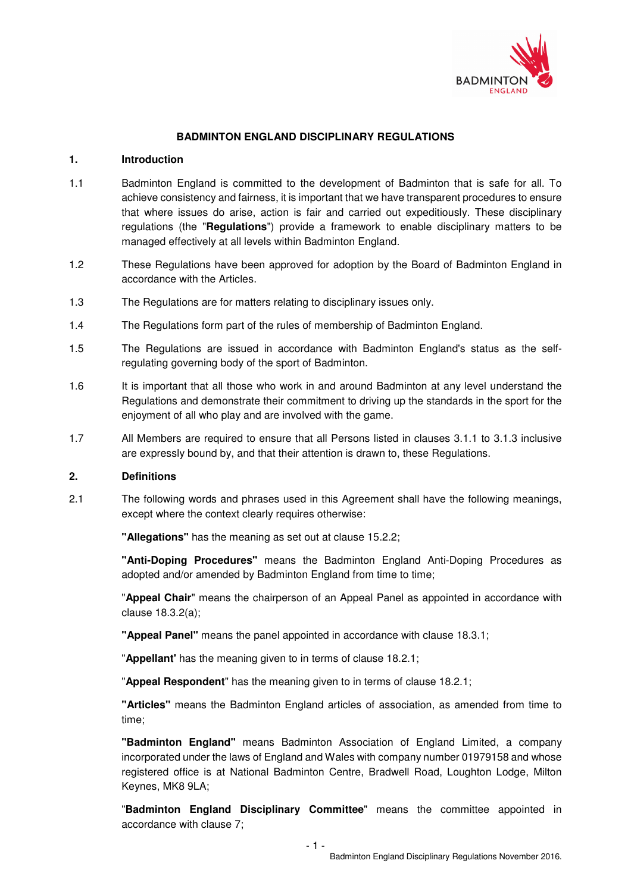

# **BADMINTON ENGLAND DISCIPLINARY REGULATIONS**

# **1. Introduction**

- 1.1 Badminton England is committed to the development of Badminton that is safe for all. To achieve consistency and fairness, it is important that we have transparent procedures to ensure that where issues do arise, action is fair and carried out expeditiously. These disciplinary regulations (the "**Regulations**") provide a framework to enable disciplinary matters to be managed effectively at all levels within Badminton England.
- 1.2 These Regulations have been approved for adoption by the Board of Badminton England in accordance with the Articles.
- 1.3 The Regulations are for matters relating to disciplinary issues only.
- 1.4 The Regulations form part of the rules of membership of Badminton England.
- 1.5 The Regulations are issued in accordance with Badminton England's status as the selfregulating governing body of the sport of Badminton.
- 1.6 It is important that all those who work in and around Badminton at any level understand the Regulations and demonstrate their commitment to driving up the standards in the sport for the enjoyment of all who play and are involved with the game.
- 1.7 All Members are required to ensure that all Persons listed in clauses 3.1.1 to 3.1.3 inclusive are expressly bound by, and that their attention is drawn to, these Regulations.

# **2. Definitions**

2.1 The following words and phrases used in this Agreement shall have the following meanings, except where the context clearly requires otherwise:

**"Allegations"** has the meaning as set out at clause 15.2.2;

**"Anti-Doping Procedures"** means the Badminton England Anti-Doping Procedures as adopted and/or amended by Badminton England from time to time;

"**Appeal Chair**" means the chairperson of an Appeal Panel as appointed in accordance with clause 18.3.2(a);

**"Appeal Panel"** means the panel appointed in accordance with clause 18.3.1;

"**Appellant'** has the meaning given to in terms of clause 18.2.1;

"**Appeal Respondent**" has the meaning given to in terms of clause 18.2.1;

**"Articles"** means the Badminton England articles of association, as amended from time to time;

**"Badminton England"** means Badminton Association of England Limited, a company incorporated under the laws of England and Wales with company number 01979158 and whose registered office is at National Badminton Centre, Bradwell Road, Loughton Lodge, Milton Keynes, MK8 9LA;

"**Badminton England Disciplinary Committee**" means the committee appointed in accordance with clause 7;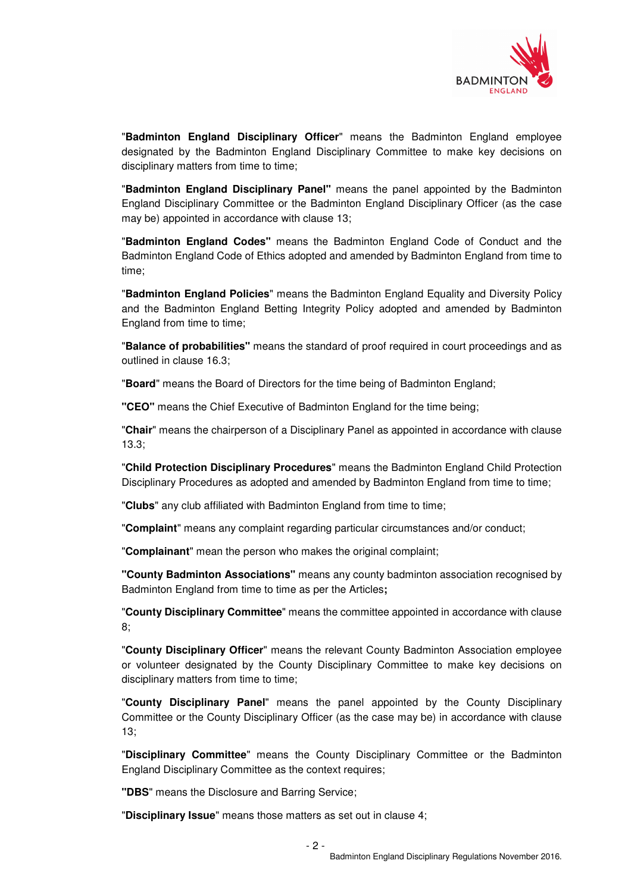

"**Badminton England Disciplinary Officer**" means the Badminton England employee designated by the Badminton England Disciplinary Committee to make key decisions on disciplinary matters from time to time;

"**Badminton England Disciplinary Panel"** means the panel appointed by the Badminton England Disciplinary Committee or the Badminton England Disciplinary Officer (as the case may be) appointed in accordance with clause 13;

"**Badminton England Codes"** means the Badminton England Code of Conduct and the Badminton England Code of Ethics adopted and amended by Badminton England from time to time;

"**Badminton England Policies**" means the Badminton England Equality and Diversity Policy and the Badminton England Betting Integrity Policy adopted and amended by Badminton England from time to time;

"**Balance of probabilities"** means the standard of proof required in court proceedings and as outlined in clause 16.3;

"**Board**" means the Board of Directors for the time being of Badminton England;

**"CEO"** means the Chief Executive of Badminton England for the time being;

"**Chair**" means the chairperson of a Disciplinary Panel as appointed in accordance with clause 13.3;

"**Child Protection Disciplinary Procedures**" means the Badminton England Child Protection Disciplinary Procedures as adopted and amended by Badminton England from time to time;

"**Clubs**" any club affiliated with Badminton England from time to time;

"**Complaint**" means any complaint regarding particular circumstances and/or conduct;

"**Complainant**" mean the person who makes the original complaint;

**"County Badminton Associations"** means any county badminton association recognised by Badminton England from time to time as per the Articles**;** 

"**County Disciplinary Committee**" means the committee appointed in accordance with clause 8;

"**County Disciplinary Officer**" means the relevant County Badminton Association employee or volunteer designated by the County Disciplinary Committee to make key decisions on disciplinary matters from time to time;

"**County Disciplinary Panel**" means the panel appointed by the County Disciplinary Committee or the County Disciplinary Officer (as the case may be) in accordance with clause 13;

"**Disciplinary Committee**" means the County Disciplinary Committee or the Badminton England Disciplinary Committee as the context requires;

**"DBS**" means the Disclosure and Barring Service;

"**Disciplinary Issue**" means those matters as set out in clause 4;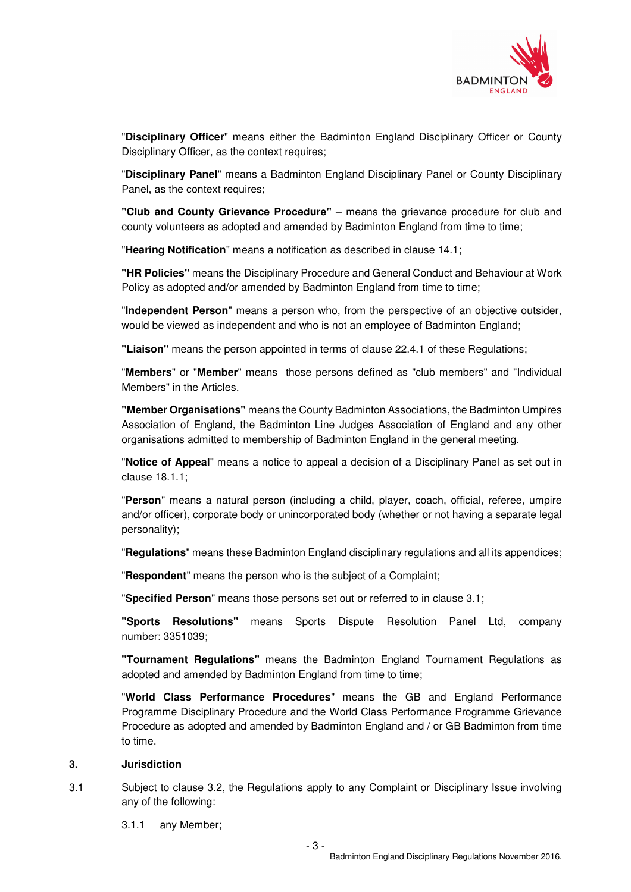

"**Disciplinary Officer**" means either the Badminton England Disciplinary Officer or County Disciplinary Officer, as the context requires;

"**Disciplinary Panel**" means a Badminton England Disciplinary Panel or County Disciplinary Panel, as the context requires;

**"Club and County Grievance Procedure"** – means the grievance procedure for club and county volunteers as adopted and amended by Badminton England from time to time;

"**Hearing Notification**" means a notification as described in clause 14.1;

**"HR Policies"** means the Disciplinary Procedure and General Conduct and Behaviour at Work Policy as adopted and/or amended by Badminton England from time to time;

"**Independent Person**" means a person who, from the perspective of an objective outsider, would be viewed as independent and who is not an employee of Badminton England;

**"Liaison"** means the person appointed in terms of clause 22.4.1 of these Regulations;

"**Members**" or "**Member**" means those persons defined as "club members" and "Individual Members" in the Articles.

**"Member Organisations"** means the County Badminton Associations, the Badminton Umpires Association of England, the Badminton Line Judges Association of England and any other organisations admitted to membership of Badminton England in the general meeting.

"**Notice of Appeal**" means a notice to appeal a decision of a Disciplinary Panel as set out in clause 18.1.1;

"**Person**" means a natural person (including a child, player, coach, official, referee, umpire and/or officer), corporate body or unincorporated body (whether or not having a separate legal personality);

"**Regulations**" means these Badminton England disciplinary regulations and all its appendices;

"**Respondent**" means the person who is the subject of a Complaint;

"**Specified Person**" means those persons set out or referred to in clause 3.1;

**"Sports Resolutions"** means Sports Dispute Resolution Panel Ltd, company number: 3351039;

**"Tournament Regulations"** means the Badminton England Tournament Regulations as adopted and amended by Badminton England from time to time;

"**World Class Performance Procedures**" means the GB and England Performance Programme Disciplinary Procedure and the World Class Performance Programme Grievance Procedure as adopted and amended by Badminton England and / or GB Badminton from time to time.

#### **3. Jurisdiction**

- 3.1 Subject to clause 3.2, the Regulations apply to any Complaint or Disciplinary Issue involving any of the following:
	- 3.1.1 any Member;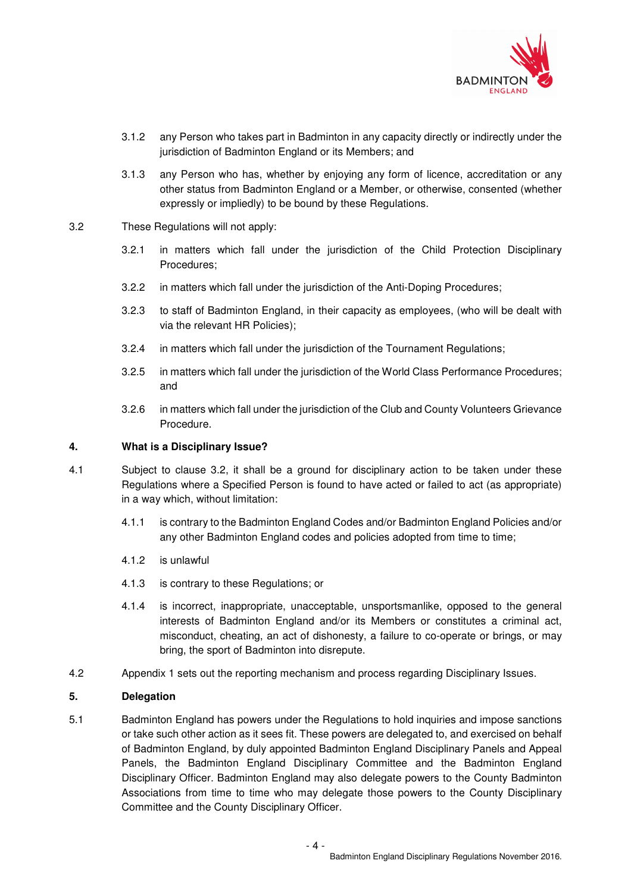

- 3.1.2 any Person who takes part in Badminton in any capacity directly or indirectly under the jurisdiction of Badminton England or its Members; and
- 3.1.3 any Person who has, whether by enjoying any form of licence, accreditation or any other status from Badminton England or a Member, or otherwise, consented (whether expressly or impliedly) to be bound by these Regulations.
- 3.2 These Regulations will not apply:
	- 3.2.1 in matters which fall under the jurisdiction of the Child Protection Disciplinary Procedures;
	- 3.2.2 in matters which fall under the jurisdiction of the Anti-Doping Procedures;
	- 3.2.3 to staff of Badminton England, in their capacity as employees, (who will be dealt with via the relevant HR Policies);
	- 3.2.4 in matters which fall under the jurisdiction of the Tournament Regulations;
	- 3.2.5 in matters which fall under the jurisdiction of the World Class Performance Procedures; and
	- 3.2.6 in matters which fall under the jurisdiction of the Club and County Volunteers Grievance Procedure.

### **4. What is a Disciplinary Issue?**

- 4.1 Subject to clause 3.2, it shall be a ground for disciplinary action to be taken under these Regulations where a Specified Person is found to have acted or failed to act (as appropriate) in a way which, without limitation:
	- 4.1.1 is contrary to the Badminton England Codes and/or Badminton England Policies and/or any other Badminton England codes and policies adopted from time to time;
	- 4.1.2 is unlawful
	- 4.1.3 is contrary to these Regulations; or
	- 4.1.4 is incorrect, inappropriate, unacceptable, unsportsmanlike, opposed to the general interests of Badminton England and/or its Members or constitutes a criminal act, misconduct, cheating, an act of dishonesty, a failure to co-operate or brings, or may bring, the sport of Badminton into disrepute.
- 4.2 Appendix 1 sets out the reporting mechanism and process regarding Disciplinary Issues.

# **5. Delegation**

5.1 Badminton England has powers under the Regulations to hold inquiries and impose sanctions or take such other action as it sees fit. These powers are delegated to, and exercised on behalf of Badminton England, by duly appointed Badminton England Disciplinary Panels and Appeal Panels, the Badminton England Disciplinary Committee and the Badminton England Disciplinary Officer. Badminton England may also delegate powers to the County Badminton Associations from time to time who may delegate those powers to the County Disciplinary Committee and the County Disciplinary Officer.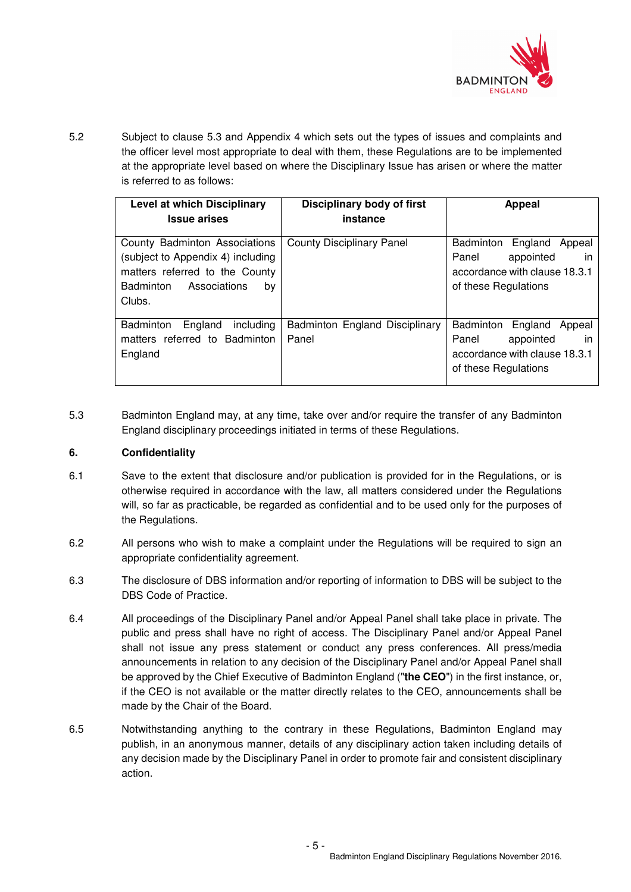

5.2 Subject to clause 5.3 and Appendix 4 which sets out the types of issues and complaints and the officer level most appropriate to deal with them, these Regulations are to be implemented at the appropriate level based on where the Disciplinary Issue has arisen or where the matter is referred to as follows:

| <b>Level at which Disciplinary</b><br><b>Issue arises</b>                                                                                         | <b>Disciplinary body of first</b><br>instance | Appeal                                                                                                              |
|---------------------------------------------------------------------------------------------------------------------------------------------------|-----------------------------------------------|---------------------------------------------------------------------------------------------------------------------|
| County Badminton Associations<br>(subject to Appendix 4) including<br>matters referred to the County<br>Badminton<br>Associations<br>by<br>Clubs. | <b>County Disciplinary Panel</b>              | England<br>Badminton<br>Appeal<br>appointed<br>Panel<br>in<br>accordance with clause 18.3.1<br>of these Regulations |
| <b>Badminton</b><br>England<br>including<br>matters referred to Badminton<br>England                                                              | Badminton England Disciplinary<br>Panel       | Badminton England<br>Appeal<br>appointed<br>Panel<br>in<br>accordance with clause 18.3.1<br>of these Regulations    |

5.3 Badminton England may, at any time, take over and/or require the transfer of any Badminton England disciplinary proceedings initiated in terms of these Regulations.

# **6. Confidentiality**

- 6.1 Save to the extent that disclosure and/or publication is provided for in the Regulations, or is otherwise required in accordance with the law, all matters considered under the Regulations will, so far as practicable, be regarded as confidential and to be used only for the purposes of the Regulations.
- 6.2 All persons who wish to make a complaint under the Regulations will be required to sign an appropriate confidentiality agreement.
- 6.3 The disclosure of DBS information and/or reporting of information to DBS will be subject to the DBS Code of Practice.
- 6.4 All proceedings of the Disciplinary Panel and/or Appeal Panel shall take place in private. The public and press shall have no right of access. The Disciplinary Panel and/or Appeal Panel shall not issue any press statement or conduct any press conferences. All press/media announcements in relation to any decision of the Disciplinary Panel and/or Appeal Panel shall be approved by the Chief Executive of Badminton England ("**the CEO**") in the first instance, or, if the CEO is not available or the matter directly relates to the CEO, announcements shall be made by the Chair of the Board.
- 6.5 Notwithstanding anything to the contrary in these Regulations, Badminton England may publish, in an anonymous manner, details of any disciplinary action taken including details of any decision made by the Disciplinary Panel in order to promote fair and consistent disciplinary action.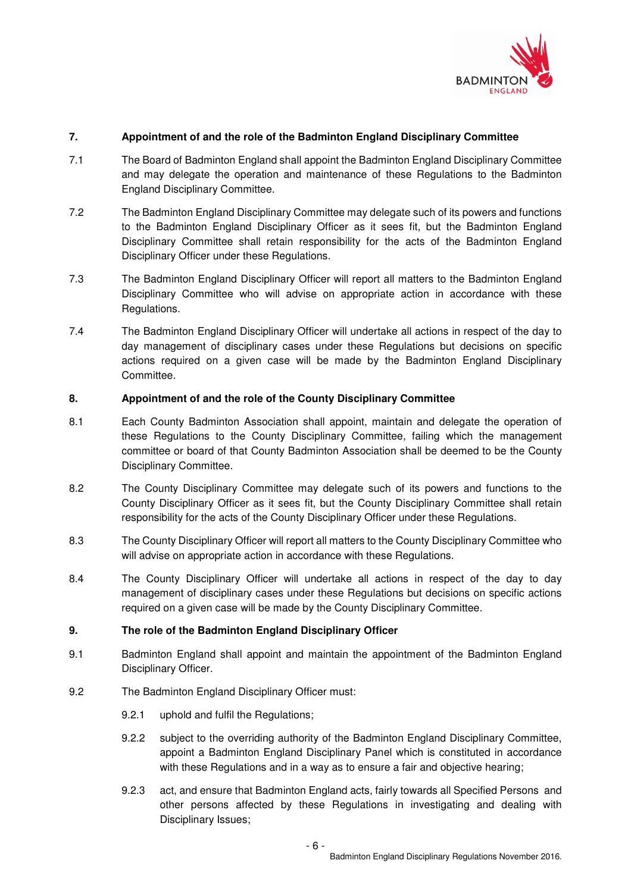

# **7. Appointment of and the role of the Badminton England Disciplinary Committee**

- 7.1 The Board of Badminton England shall appoint the Badminton England Disciplinary Committee and may delegate the operation and maintenance of these Regulations to the Badminton England Disciplinary Committee.
- 7.2 The Badminton England Disciplinary Committee may delegate such of its powers and functions to the Badminton England Disciplinary Officer as it sees fit, but the Badminton England Disciplinary Committee shall retain responsibility for the acts of the Badminton England Disciplinary Officer under these Regulations.
- 7.3 The Badminton England Disciplinary Officer will report all matters to the Badminton England Disciplinary Committee who will advise on appropriate action in accordance with these Regulations.
- 7.4 The Badminton England Disciplinary Officer will undertake all actions in respect of the day to day management of disciplinary cases under these Regulations but decisions on specific actions required on a given case will be made by the Badminton England Disciplinary Committee.

# **8. Appointment of and the role of the County Disciplinary Committee**

- 8.1 Each County Badminton Association shall appoint, maintain and delegate the operation of these Regulations to the County Disciplinary Committee, failing which the management committee or board of that County Badminton Association shall be deemed to be the County Disciplinary Committee.
- 8.2 The County Disciplinary Committee may delegate such of its powers and functions to the County Disciplinary Officer as it sees fit, but the County Disciplinary Committee shall retain responsibility for the acts of the County Disciplinary Officer under these Regulations.
- 8.3 The County Disciplinary Officer will report all matters to the County Disciplinary Committee who will advise on appropriate action in accordance with these Regulations.
- 8.4 The County Disciplinary Officer will undertake all actions in respect of the day to day management of disciplinary cases under these Regulations but decisions on specific actions required on a given case will be made by the County Disciplinary Committee.

# **9. The role of the Badminton England Disciplinary Officer**

- 9.1 Badminton England shall appoint and maintain the appointment of the Badminton England Disciplinary Officer.
- 9.2 The Badminton England Disciplinary Officer must:
	- 9.2.1 uphold and fulfil the Regulations;
	- 9.2.2 subject to the overriding authority of the Badminton England Disciplinary Committee, appoint a Badminton England Disciplinary Panel which is constituted in accordance with these Regulations and in a way as to ensure a fair and objective hearing;
	- 9.2.3 act, and ensure that Badminton England acts, fairly towards all Specified Persons and other persons affected by these Regulations in investigating and dealing with Disciplinary Issues;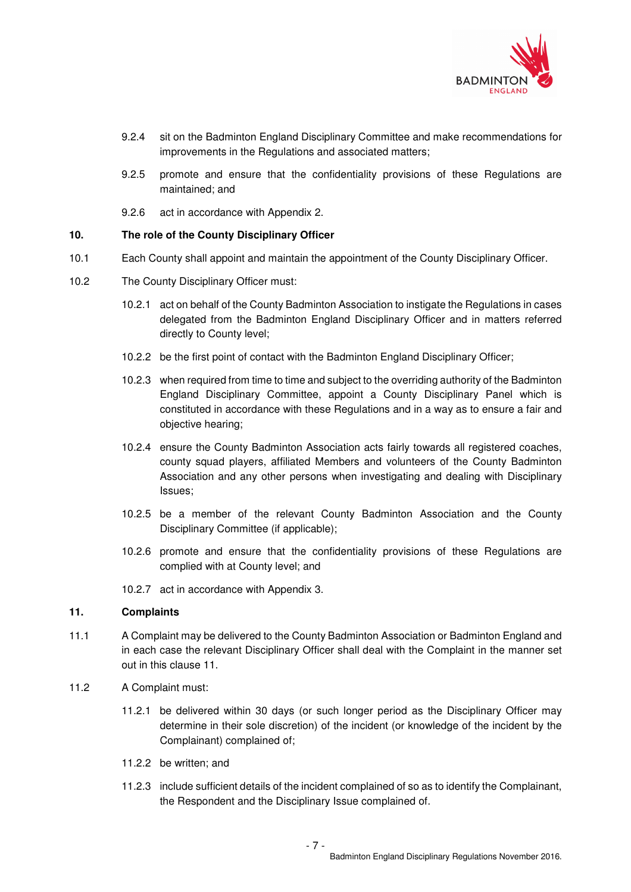

- 9.2.4 sit on the Badminton England Disciplinary Committee and make recommendations for improvements in the Regulations and associated matters;
- 9.2.5 promote and ensure that the confidentiality provisions of these Regulations are maintained; and
- 9.2.6 act in accordance with Appendix 2.

#### **10. The role of the County Disciplinary Officer**

- 10.1 Each County shall appoint and maintain the appointment of the County Disciplinary Officer.
- 10.2 The County Disciplinary Officer must:
	- 10.2.1 act on behalf of the County Badminton Association to instigate the Regulations in cases delegated from the Badminton England Disciplinary Officer and in matters referred directly to County level;
	- 10.2.2 be the first point of contact with the Badminton England Disciplinary Officer;
	- 10.2.3 when required from time to time and subject to the overriding authority of the Badminton England Disciplinary Committee, appoint a County Disciplinary Panel which is constituted in accordance with these Regulations and in a way as to ensure a fair and objective hearing;
	- 10.2.4 ensure the County Badminton Association acts fairly towards all registered coaches, county squad players, affiliated Members and volunteers of the County Badminton Association and any other persons when investigating and dealing with Disciplinary Issues;
	- 10.2.5 be a member of the relevant County Badminton Association and the County Disciplinary Committee (if applicable);
	- 10.2.6 promote and ensure that the confidentiality provisions of these Regulations are complied with at County level; and
	- 10.2.7 act in accordance with Appendix 3.

#### **11. Complaints**

- 11.1 A Complaint may be delivered to the County Badminton Association or Badminton England and in each case the relevant Disciplinary Officer shall deal with the Complaint in the manner set out in this clause 11.
- 11.2 A Complaint must:
	- 11.2.1 be delivered within 30 days (or such longer period as the Disciplinary Officer may determine in their sole discretion) of the incident (or knowledge of the incident by the Complainant) complained of;
	- 11.2.2 be written; and
	- 11.2.3 include sufficient details of the incident complained of so as to identify the Complainant, the Respondent and the Disciplinary Issue complained of.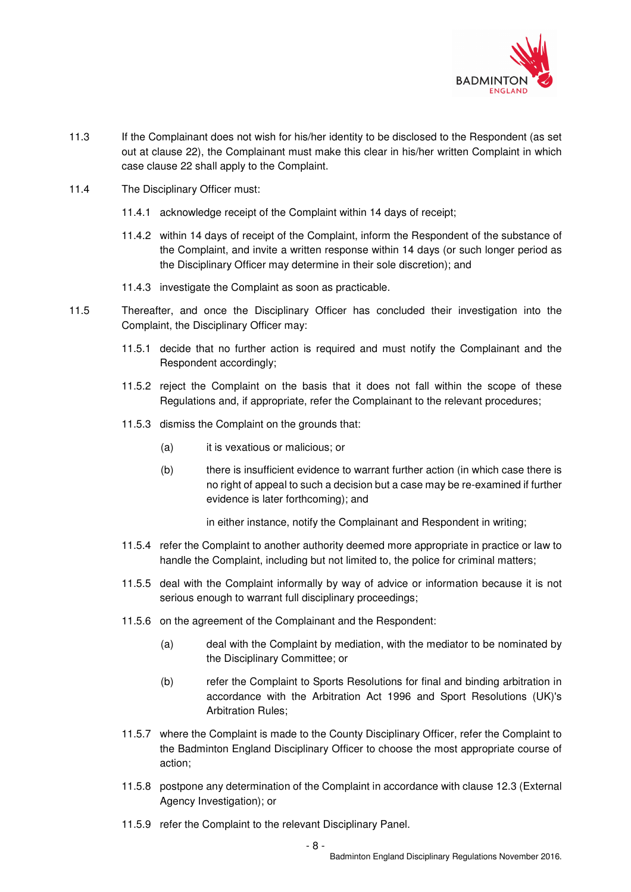

- 11.3 If the Complainant does not wish for his/her identity to be disclosed to the Respondent (as set out at clause 22), the Complainant must make this clear in his/her written Complaint in which case clause 22 shall apply to the Complaint.
- 11.4 The Disciplinary Officer must:
	- 11.4.1 acknowledge receipt of the Complaint within 14 days of receipt;
	- 11.4.2 within 14 days of receipt of the Complaint, inform the Respondent of the substance of the Complaint, and invite a written response within 14 days (or such longer period as the Disciplinary Officer may determine in their sole discretion); and
	- 11.4.3 investigate the Complaint as soon as practicable.
- 11.5 Thereafter, and once the Disciplinary Officer has concluded their investigation into the Complaint, the Disciplinary Officer may:
	- 11.5.1 decide that no further action is required and must notify the Complainant and the Respondent accordingly;
	- 11.5.2 reject the Complaint on the basis that it does not fall within the scope of these Regulations and, if appropriate, refer the Complainant to the relevant procedures;
	- 11.5.3 dismiss the Complaint on the grounds that:
		- (a) it is vexatious or malicious; or
		- (b) there is insufficient evidence to warrant further action (in which case there is no right of appeal to such a decision but a case may be re-examined if further evidence is later forthcoming); and

in either instance, notify the Complainant and Respondent in writing;

- 11.5.4 refer the Complaint to another authority deemed more appropriate in practice or law to handle the Complaint, including but not limited to, the police for criminal matters;
- 11.5.5 deal with the Complaint informally by way of advice or information because it is not serious enough to warrant full disciplinary proceedings;
- 11.5.6 on the agreement of the Complainant and the Respondent:
	- (a) deal with the Complaint by mediation, with the mediator to be nominated by the Disciplinary Committee; or
	- (b) refer the Complaint to Sports Resolutions for final and binding arbitration in accordance with the Arbitration Act 1996 and Sport Resolutions (UK)'s Arbitration Rules;
- 11.5.7 where the Complaint is made to the County Disciplinary Officer, refer the Complaint to the Badminton England Disciplinary Officer to choose the most appropriate course of action;
- 11.5.8 postpone any determination of the Complaint in accordance with clause 12.3 (External Agency Investigation); or
- 11.5.9 refer the Complaint to the relevant Disciplinary Panel.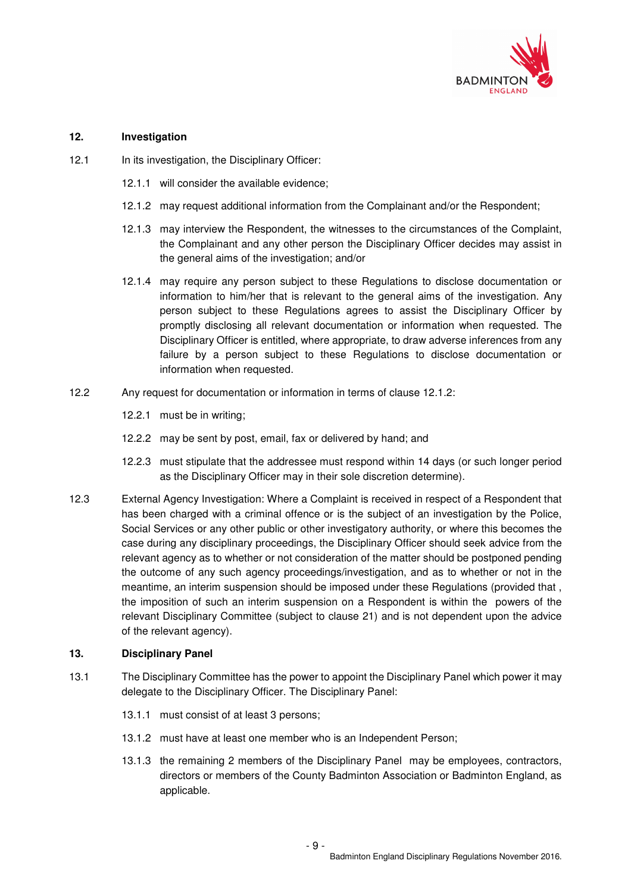

# **12. Investigation**

- 12.1 In its investigation, the Disciplinary Officer:
	- 12.1.1 will consider the available evidence;
	- 12.1.2 may request additional information from the Complainant and/or the Respondent;
	- 12.1.3 may interview the Respondent, the witnesses to the circumstances of the Complaint, the Complainant and any other person the Disciplinary Officer decides may assist in the general aims of the investigation; and/or
	- 12.1.4 may require any person subject to these Regulations to disclose documentation or information to him/her that is relevant to the general aims of the investigation. Any person subject to these Regulations agrees to assist the Disciplinary Officer by promptly disclosing all relevant documentation or information when requested. The Disciplinary Officer is entitled, where appropriate, to draw adverse inferences from any failure by a person subject to these Regulations to disclose documentation or information when requested.
- 12.2 Any request for documentation or information in terms of clause 12.1.2:
	- 12.2.1 must be in writing;
	- 12.2.2 may be sent by post, email, fax or delivered by hand; and
	- 12.2.3 must stipulate that the addressee must respond within 14 days (or such longer period as the Disciplinary Officer may in their sole discretion determine).
- 12.3 External Agency Investigation: Where a Complaint is received in respect of a Respondent that has been charged with a criminal offence or is the subject of an investigation by the Police, Social Services or any other public or other investigatory authority, or where this becomes the case during any disciplinary proceedings, the Disciplinary Officer should seek advice from the relevant agency as to whether or not consideration of the matter should be postponed pending the outcome of any such agency proceedings/investigation, and as to whether or not in the meantime, an interim suspension should be imposed under these Regulations (provided that , the imposition of such an interim suspension on a Respondent is within the powers of the relevant Disciplinary Committee (subject to clause 21) and is not dependent upon the advice of the relevant agency).

# **13. Disciplinary Panel**

- 13.1 The Disciplinary Committee has the power to appoint the Disciplinary Panel which power it may delegate to the Disciplinary Officer. The Disciplinary Panel:
	- 13.1.1 must consist of at least 3 persons;
	- 13.1.2 must have at least one member who is an Independent Person;
	- 13.1.3 the remaining 2 members of the Disciplinary Panel may be employees, contractors, directors or members of the County Badminton Association or Badminton England, as applicable.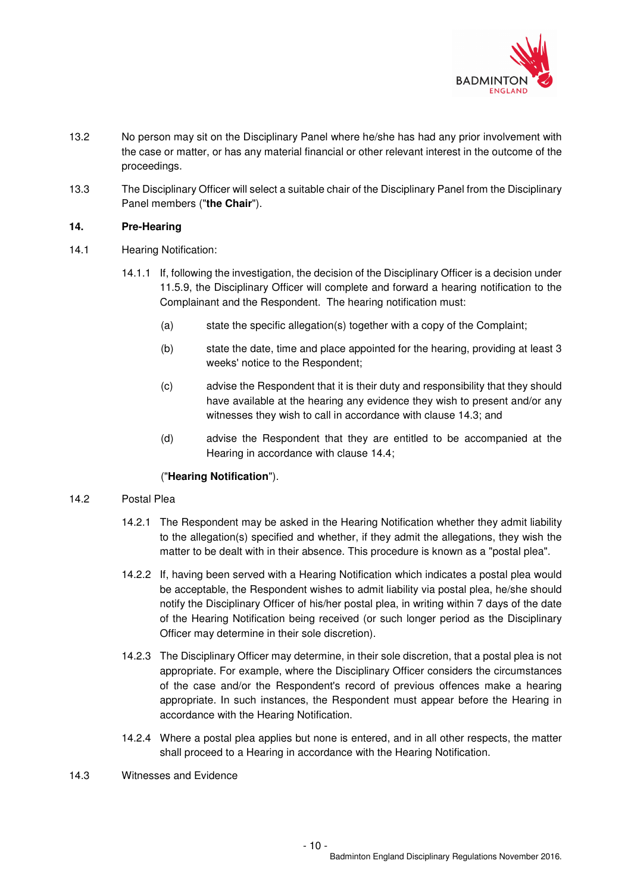

- 13.2 No person may sit on the Disciplinary Panel where he/she has had any prior involvement with the case or matter, or has any material financial or other relevant interest in the outcome of the proceedings.
- 13.3 The Disciplinary Officer will select a suitable chair of the Disciplinary Panel from the Disciplinary Panel members ("**the Chair**").

# **14. Pre-Hearing**

- 14.1 Hearing Notification:
	- 14.1.1 If, following the investigation, the decision of the Disciplinary Officer is a decision under 11.5.9, the Disciplinary Officer will complete and forward a hearing notification to the Complainant and the Respondent. The hearing notification must:
		- (a) state the specific allegation(s) together with a copy of the Complaint;
		- (b) state the date, time and place appointed for the hearing, providing at least 3 weeks' notice to the Respondent;
		- (c) advise the Respondent that it is their duty and responsibility that they should have available at the hearing any evidence they wish to present and/or any witnesses they wish to call in accordance with clause 14.3; and
		- (d) advise the Respondent that they are entitled to be accompanied at the Hearing in accordance with clause 14.4;

# ("**Hearing Notification**").

# 14.2 Postal Plea

- 14.2.1 The Respondent may be asked in the Hearing Notification whether they admit liability to the allegation(s) specified and whether, if they admit the allegations, they wish the matter to be dealt with in their absence. This procedure is known as a "postal plea".
- 14.2.2 If, having been served with a Hearing Notification which indicates a postal plea would be acceptable, the Respondent wishes to admit liability via postal plea, he/she should notify the Disciplinary Officer of his/her postal plea, in writing within 7 days of the date of the Hearing Notification being received (or such longer period as the Disciplinary Officer may determine in their sole discretion).
- 14.2.3 The Disciplinary Officer may determine, in their sole discretion, that a postal plea is not appropriate. For example, where the Disciplinary Officer considers the circumstances of the case and/or the Respondent's record of previous offences make a hearing appropriate. In such instances, the Respondent must appear before the Hearing in accordance with the Hearing Notification.
- 14.2.4 Where a postal plea applies but none is entered, and in all other respects, the matter shall proceed to a Hearing in accordance with the Hearing Notification.
- 14.3 Witnesses and Evidence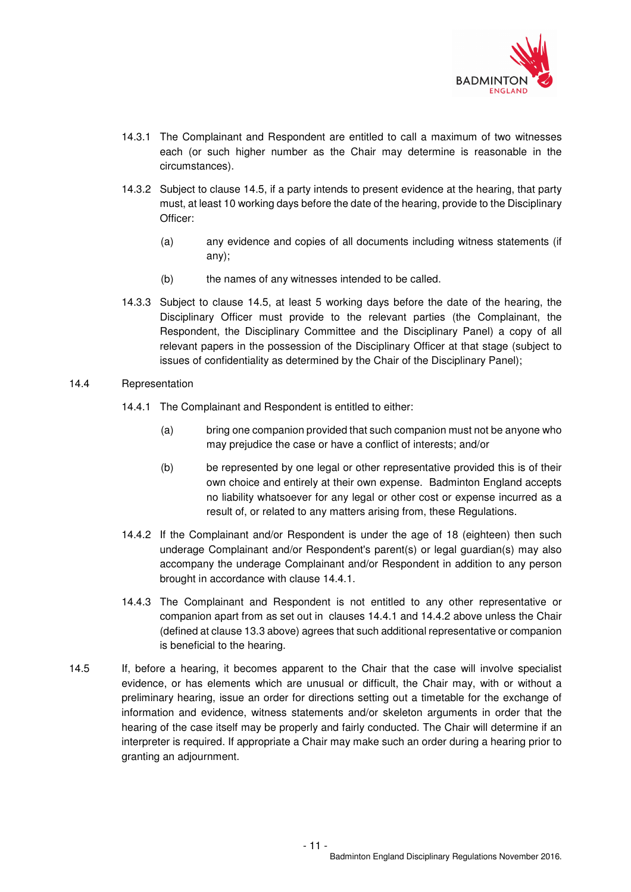

- 14.3.1 The Complainant and Respondent are entitled to call a maximum of two witnesses each (or such higher number as the Chair may determine is reasonable in the circumstances).
- 14.3.2 Subject to clause 14.5, if a party intends to present evidence at the hearing, that party must, at least 10 working days before the date of the hearing, provide to the Disciplinary Officer:
	- (a) any evidence and copies of all documents including witness statements (if any);
	- (b) the names of any witnesses intended to be called.
- 14.3.3 Subject to clause 14.5, at least 5 working days before the date of the hearing, the Disciplinary Officer must provide to the relevant parties (the Complainant, the Respondent, the Disciplinary Committee and the Disciplinary Panel) a copy of all relevant papers in the possession of the Disciplinary Officer at that stage (subject to issues of confidentiality as determined by the Chair of the Disciplinary Panel);

#### 14.4 Representation

- 14.4.1 The Complainant and Respondent is entitled to either:
	- (a) bring one companion provided that such companion must not be anyone who may prejudice the case or have a conflict of interests; and/or
	- (b) be represented by one legal or other representative provided this is of their own choice and entirely at their own expense. Badminton England accepts no liability whatsoever for any legal or other cost or expense incurred as a result of, or related to any matters arising from, these Regulations.
- 14.4.2 If the Complainant and/or Respondent is under the age of 18 (eighteen) then such underage Complainant and/or Respondent's parent(s) or legal guardian(s) may also accompany the underage Complainant and/or Respondent in addition to any person brought in accordance with clause 14.4.1.
- 14.4.3 The Complainant and Respondent is not entitled to any other representative or companion apart from as set out in clauses 14.4.1 and 14.4.2 above unless the Chair (defined at clause 13.3 above) agrees that such additional representative or companion is beneficial to the hearing.
- 14.5 If, before a hearing, it becomes apparent to the Chair that the case will involve specialist evidence, or has elements which are unusual or difficult, the Chair may, with or without a preliminary hearing, issue an order for directions setting out a timetable for the exchange of information and evidence, witness statements and/or skeleton arguments in order that the hearing of the case itself may be properly and fairly conducted. The Chair will determine if an interpreter is required. If appropriate a Chair may make such an order during a hearing prior to granting an adjournment.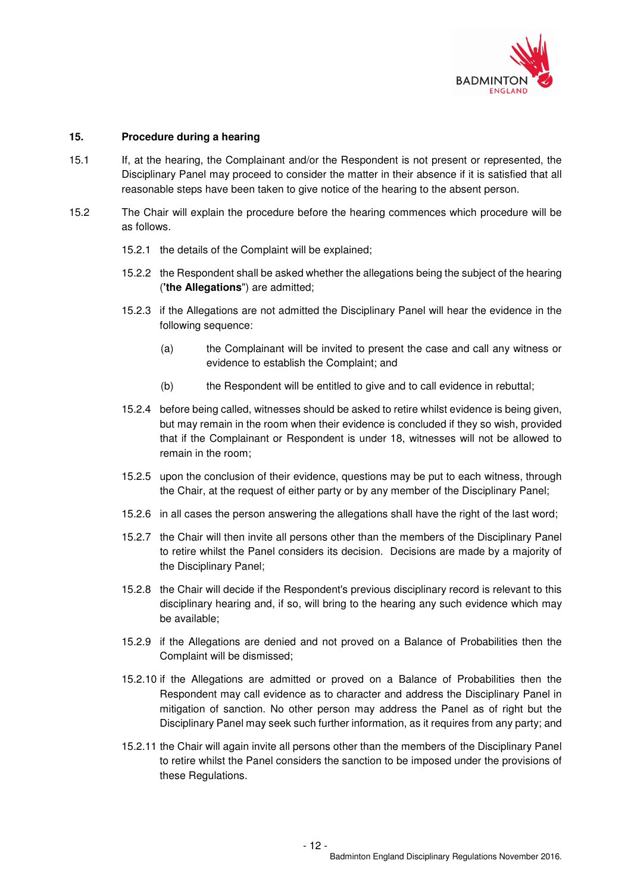

### **15. Procedure during a hearing**

- 15.1 If, at the hearing, the Complainant and/or the Respondent is not present or represented, the Disciplinary Panel may proceed to consider the matter in their absence if it is satisfied that all reasonable steps have been taken to give notice of the hearing to the absent person.
- 15.2 The Chair will explain the procedure before the hearing commences which procedure will be as follows.
	- 15.2.1 the details of the Complaint will be explained;
	- 15.2.2 the Respondent shall be asked whether the allegations being the subject of the hearing (**'the Allegations**") are admitted;
	- 15.2.3 if the Allegations are not admitted the Disciplinary Panel will hear the evidence in the following sequence:
		- (a) the Complainant will be invited to present the case and call any witness or evidence to establish the Complaint; and
		- (b) the Respondent will be entitled to give and to call evidence in rebuttal;
	- 15.2.4 before being called, witnesses should be asked to retire whilst evidence is being given, but may remain in the room when their evidence is concluded if they so wish, provided that if the Complainant or Respondent is under 18, witnesses will not be allowed to remain in the room;
	- 15.2.5 upon the conclusion of their evidence, questions may be put to each witness, through the Chair, at the request of either party or by any member of the Disciplinary Panel;
	- 15.2.6 in all cases the person answering the allegations shall have the right of the last word;
	- 15.2.7 the Chair will then invite all persons other than the members of the Disciplinary Panel to retire whilst the Panel considers its decision. Decisions are made by a majority of the Disciplinary Panel;
	- 15.2.8 the Chair will decide if the Respondent's previous disciplinary record is relevant to this disciplinary hearing and, if so, will bring to the hearing any such evidence which may be available;
	- 15.2.9 if the Allegations are denied and not proved on a Balance of Probabilities then the Complaint will be dismissed;
	- 15.2.10 if the Allegations are admitted or proved on a Balance of Probabilities then the Respondent may call evidence as to character and address the Disciplinary Panel in mitigation of sanction. No other person may address the Panel as of right but the Disciplinary Panel may seek such further information, as it requires from any party; and
	- 15.2.11 the Chair will again invite all persons other than the members of the Disciplinary Panel to retire whilst the Panel considers the sanction to be imposed under the provisions of these Regulations.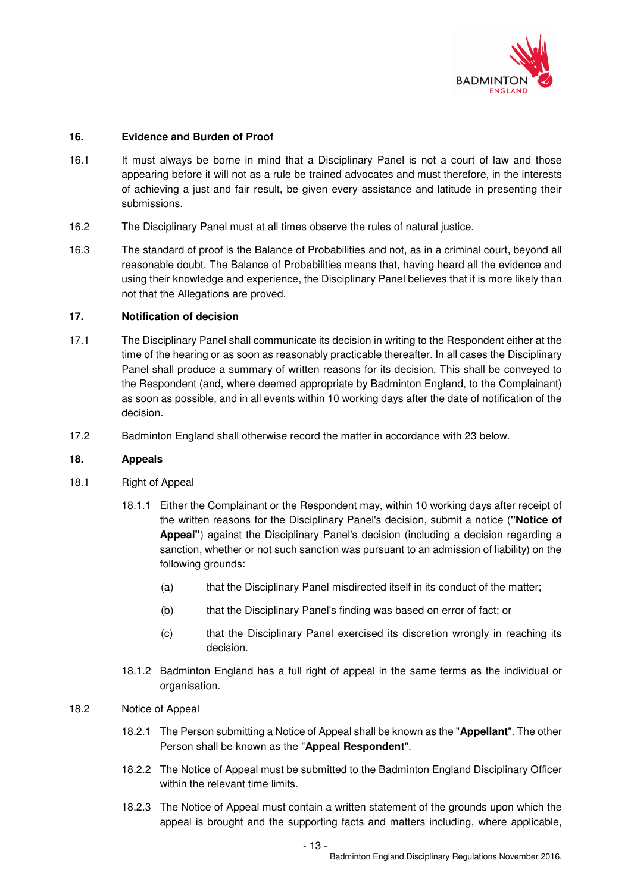

# **16. Evidence and Burden of Proof**

- 16.1 It must always be borne in mind that a Disciplinary Panel is not a court of law and those appearing before it will not as a rule be trained advocates and must therefore, in the interests of achieving a just and fair result, be given every assistance and latitude in presenting their submissions.
- 16.2 The Disciplinary Panel must at all times observe the rules of natural justice.
- 16.3 The standard of proof is the Balance of Probabilities and not, as in a criminal court, beyond all reasonable doubt. The Balance of Probabilities means that, having heard all the evidence and using their knowledge and experience, the Disciplinary Panel believes that it is more likely than not that the Allegations are proved.

# **17. Notification of decision**

- 17.1 The Disciplinary Panel shall communicate its decision in writing to the Respondent either at the time of the hearing or as soon as reasonably practicable thereafter. In all cases the Disciplinary Panel shall produce a summary of written reasons for its decision. This shall be conveyed to the Respondent (and, where deemed appropriate by Badminton England, to the Complainant) as soon as possible, and in all events within 10 working days after the date of notification of the decision.
- 17.2 Badminton England shall otherwise record the matter in accordance with 23 below.

# **18. Appeals**

- 18.1 Right of Appeal
	- 18.1.1 Either the Complainant or the Respondent may, within 10 working days after receipt of the written reasons for the Disciplinary Panel's decision, submit a notice (**"Notice of Appeal"**) against the Disciplinary Panel's decision (including a decision regarding a sanction, whether or not such sanction was pursuant to an admission of liability) on the following grounds:
		- (a) that the Disciplinary Panel misdirected itself in its conduct of the matter;
		- (b) that the Disciplinary Panel's finding was based on error of fact; or
		- (c) that the Disciplinary Panel exercised its discretion wrongly in reaching its decision.
	- 18.1.2 Badminton England has a full right of appeal in the same terms as the individual or organisation.

# 18.2 Notice of Appeal

- 18.2.1 The Person submitting a Notice of Appeal shall be known as the "**Appellant**". The other Person shall be known as the "**Appeal Respondent**".
- 18.2.2 The Notice of Appeal must be submitted to the Badminton England Disciplinary Officer within the relevant time limits.
- 18.2.3 The Notice of Appeal must contain a written statement of the grounds upon which the appeal is brought and the supporting facts and matters including, where applicable,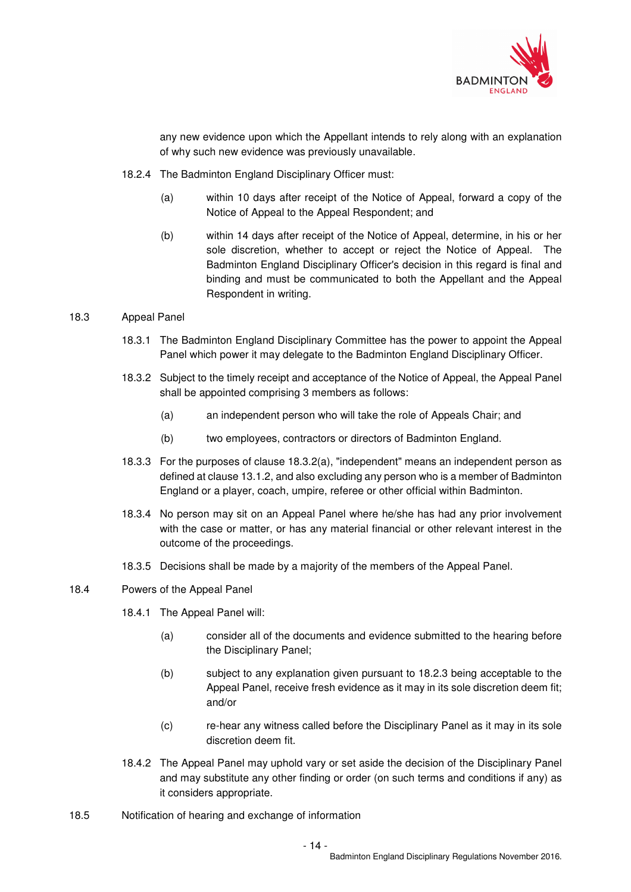

any new evidence upon which the Appellant intends to rely along with an explanation of why such new evidence was previously unavailable.

- 18.2.4 The Badminton England Disciplinary Officer must:
	- (a) within 10 days after receipt of the Notice of Appeal, forward a copy of the Notice of Appeal to the Appeal Respondent; and
	- (b) within 14 days after receipt of the Notice of Appeal, determine, in his or her sole discretion, whether to accept or reject the Notice of Appeal. The Badminton England Disciplinary Officer's decision in this regard is final and binding and must be communicated to both the Appellant and the Appeal Respondent in writing.

# 18.3 Appeal Panel

- 18.3.1 The Badminton England Disciplinary Committee has the power to appoint the Appeal Panel which power it may delegate to the Badminton England Disciplinary Officer.
- 18.3.2 Subject to the timely receipt and acceptance of the Notice of Appeal, the Appeal Panel shall be appointed comprising 3 members as follows:
	- (a) an independent person who will take the role of Appeals Chair; and
	- (b) two employees, contractors or directors of Badminton England.
- 18.3.3 For the purposes of clause 18.3.2(a), "independent" means an independent person as defined at clause 13.1.2, and also excluding any person who is a member of Badminton England or a player, coach, umpire, referee or other official within Badminton.
- 18.3.4 No person may sit on an Appeal Panel where he/she has had any prior involvement with the case or matter, or has any material financial or other relevant interest in the outcome of the proceedings.
- 18.3.5 Decisions shall be made by a majority of the members of the Appeal Panel.
- 18.4 Powers of the Appeal Panel
	- 18.4.1 The Appeal Panel will:
		- (a) consider all of the documents and evidence submitted to the hearing before the Disciplinary Panel;
		- (b) subject to any explanation given pursuant to 18.2.3 being acceptable to the Appeal Panel, receive fresh evidence as it may in its sole discretion deem fit; and/or
		- (c) re-hear any witness called before the Disciplinary Panel as it may in its sole discretion deem fit.
	- 18.4.2 The Appeal Panel may uphold vary or set aside the decision of the Disciplinary Panel and may substitute any other finding or order (on such terms and conditions if any) as it considers appropriate.
- 18.5 Notification of hearing and exchange of information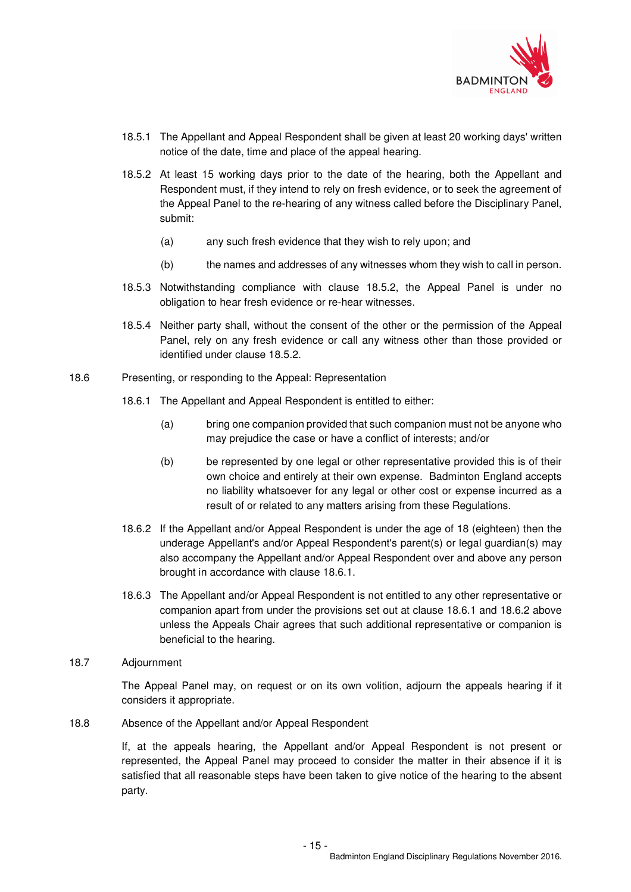

- 18.5.1 The Appellant and Appeal Respondent shall be given at least 20 working days' written notice of the date, time and place of the appeal hearing.
- 18.5.2 At least 15 working days prior to the date of the hearing, both the Appellant and Respondent must, if they intend to rely on fresh evidence, or to seek the agreement of the Appeal Panel to the re-hearing of any witness called before the Disciplinary Panel, submit:
	- (a) any such fresh evidence that they wish to rely upon; and
	- (b) the names and addresses of any witnesses whom they wish to call in person.
- 18.5.3 Notwithstanding compliance with clause 18.5.2, the Appeal Panel is under no obligation to hear fresh evidence or re-hear witnesses.
- 18.5.4 Neither party shall, without the consent of the other or the permission of the Appeal Panel, rely on any fresh evidence or call any witness other than those provided or identified under clause 18.5.2.
- 18.6 Presenting, or responding to the Appeal: Representation
	- 18.6.1 The Appellant and Appeal Respondent is entitled to either:
		- (a) bring one companion provided that such companion must not be anyone who may prejudice the case or have a conflict of interests; and/or
		- (b) be represented by one legal or other representative provided this is of their own choice and entirely at their own expense. Badminton England accepts no liability whatsoever for any legal or other cost or expense incurred as a result of or related to any matters arising from these Regulations.
	- 18.6.2 If the Appellant and/or Appeal Respondent is under the age of 18 (eighteen) then the underage Appellant's and/or Appeal Respondent's parent(s) or legal guardian(s) may also accompany the Appellant and/or Appeal Respondent over and above any person brought in accordance with clause 18.6.1.
	- 18.6.3 The Appellant and/or Appeal Respondent is not entitled to any other representative or companion apart from under the provisions set out at clause 18.6.1 and 18.6.2 above unless the Appeals Chair agrees that such additional representative or companion is beneficial to the hearing.
- 18.7 Adjournment

The Appeal Panel may, on request or on its own volition, adjourn the appeals hearing if it considers it appropriate.

18.8 Absence of the Appellant and/or Appeal Respondent

If, at the appeals hearing, the Appellant and/or Appeal Respondent is not present or represented, the Appeal Panel may proceed to consider the matter in their absence if it is satisfied that all reasonable steps have been taken to give notice of the hearing to the absent party.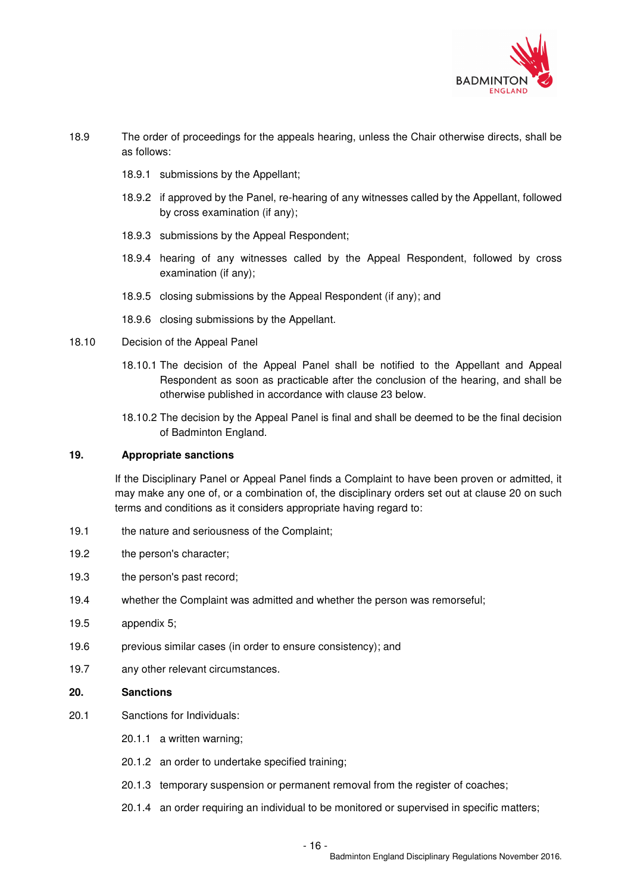

- 18.9 The order of proceedings for the appeals hearing, unless the Chair otherwise directs, shall be as follows:
	- 18.9.1 submissions by the Appellant;
	- 18.9.2 if approved by the Panel, re-hearing of any witnesses called by the Appellant, followed by cross examination (if any);
	- 18.9.3 submissions by the Appeal Respondent;
	- 18.9.4 hearing of any witnesses called by the Appeal Respondent, followed by cross examination (if any);
	- 18.9.5 closing submissions by the Appeal Respondent (if any); and
	- 18.9.6 closing submissions by the Appellant.
- 18.10 Decision of the Appeal Panel
	- 18.10.1 The decision of the Appeal Panel shall be notified to the Appellant and Appeal Respondent as soon as practicable after the conclusion of the hearing, and shall be otherwise published in accordance with clause 23 below.
	- 18.10.2 The decision by the Appeal Panel is final and shall be deemed to be the final decision of Badminton England.

#### **19. Appropriate sanctions**

If the Disciplinary Panel or Appeal Panel finds a Complaint to have been proven or admitted, it may make any one of, or a combination of, the disciplinary orders set out at clause 20 on such terms and conditions as it considers appropriate having regard to:

- 19.1 the nature and seriousness of the Complaint;
- 19.2 the person's character;
- 19.3 the person's past record;
- 19.4 whether the Complaint was admitted and whether the person was remorseful;
- 19.5 appendix 5;
- 19.6 **previous similar cases (in order to ensure consistency); and**
- 19.7 any other relevant circumstances.

# **20. Sanctions**

- 20.1 Sanctions for Individuals:
	- 20.1.1 a written warning;
	- 20.1.2 an order to undertake specified training;
	- 20.1.3 temporary suspension or permanent removal from the register of coaches;
	- 20.1.4 an order requiring an individual to be monitored or supervised in specific matters;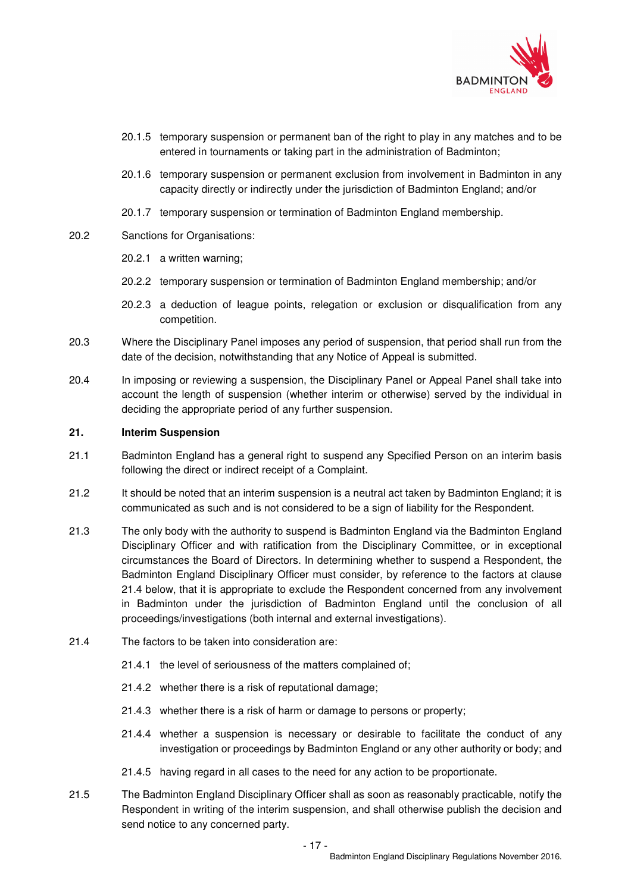

- 20.1.5 temporary suspension or permanent ban of the right to play in any matches and to be entered in tournaments or taking part in the administration of Badminton;
- 20.1.6 temporary suspension or permanent exclusion from involvement in Badminton in any capacity directly or indirectly under the jurisdiction of Badminton England; and/or
- 20.1.7 temporary suspension or termination of Badminton England membership.
- 20.2 Sanctions for Organisations:
	- 20.2.1 a written warning;
	- 20.2.2 temporary suspension or termination of Badminton England membership; and/or
	- 20.2.3 a deduction of league points, relegation or exclusion or disqualification from any competition.
- 20.3 Where the Disciplinary Panel imposes any period of suspension, that period shall run from the date of the decision, notwithstanding that any Notice of Appeal is submitted.
- 20.4 In imposing or reviewing a suspension, the Disciplinary Panel or Appeal Panel shall take into account the length of suspension (whether interim or otherwise) served by the individual in deciding the appropriate period of any further suspension.

# **21. Interim Suspension**

- 21.1 Badminton England has a general right to suspend any Specified Person on an interim basis following the direct or indirect receipt of a Complaint.
- 21.2 It should be noted that an interim suspension is a neutral act taken by Badminton England; it is communicated as such and is not considered to be a sign of liability for the Respondent.
- 21.3 The only body with the authority to suspend is Badminton England via the Badminton England Disciplinary Officer and with ratification from the Disciplinary Committee, or in exceptional circumstances the Board of Directors. In determining whether to suspend a Respondent, the Badminton England Disciplinary Officer must consider, by reference to the factors at clause 21.4 below, that it is appropriate to exclude the Respondent concerned from any involvement in Badminton under the jurisdiction of Badminton England until the conclusion of all proceedings/investigations (both internal and external investigations).
- 21.4 The factors to be taken into consideration are:
	- 21.4.1 the level of seriousness of the matters complained of;
	- 21.4.2 whether there is a risk of reputational damage;
	- 21.4.3 whether there is a risk of harm or damage to persons or property;
	- 21.4.4 whether a suspension is necessary or desirable to facilitate the conduct of any investigation or proceedings by Badminton England or any other authority or body; and
	- 21.4.5 having regard in all cases to the need for any action to be proportionate.
- 21.5 The Badminton England Disciplinary Officer shall as soon as reasonably practicable, notify the Respondent in writing of the interim suspension, and shall otherwise publish the decision and send notice to any concerned party.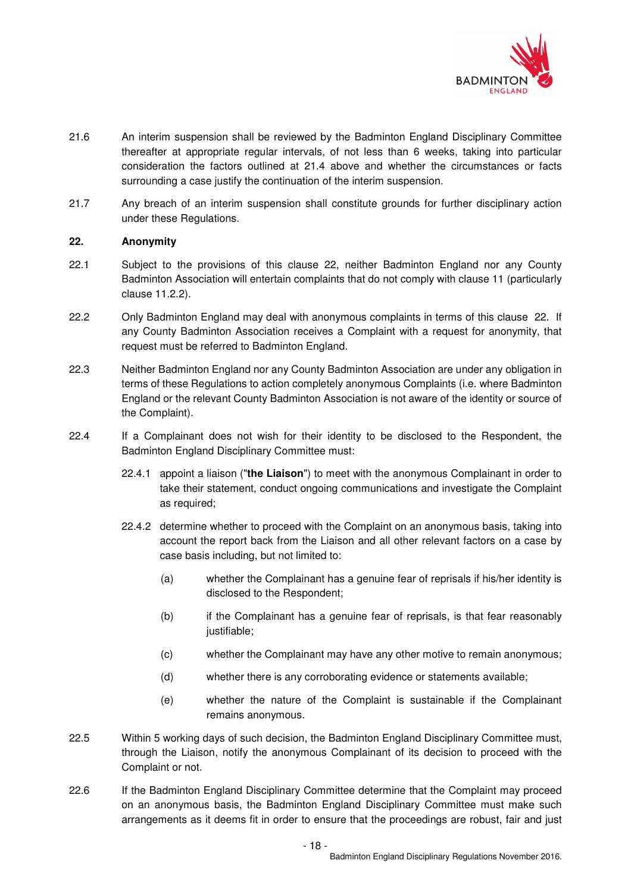

- 21.6 An interim suspension shall be reviewed by the Badminton England Disciplinary Committee thereafter at appropriate regular intervals, of not less than 6 weeks, taking into particular consideration the factors outlined at 21.4 above and whether the circumstances or facts surrounding a case justify the continuation of the interim suspension.
- 21.7 Any breach of an interim suspension shall constitute grounds for further disciplinary action under these Regulations.

# **22. Anonymity**

- 22.1 Subject to the provisions of this clause 22, neither Badminton England nor any County Badminton Association will entertain complaints that do not comply with clause 11 (particularly clause 11.2.2).
- 22.2 Only Badminton England may deal with anonymous complaints in terms of this clause 22. If any County Badminton Association receives a Complaint with a request for anonymity, that request must be referred to Badminton England.
- 22.3 Neither Badminton England nor any County Badminton Association are under any obligation in terms of these Regulations to action completely anonymous Complaints (i.e. where Badminton England or the relevant County Badminton Association is not aware of the identity or source of the Complaint).
- 22.4 If a Complainant does not wish for their identity to be disclosed to the Respondent, the Badminton England Disciplinary Committee must:
	- 22.4.1 appoint a liaison ("**the Liaison**") to meet with the anonymous Complainant in order to take their statement, conduct ongoing communications and investigate the Complaint as required;
	- 22.4.2 determine whether to proceed with the Complaint on an anonymous basis, taking into account the report back from the Liaison and all other relevant factors on a case by case basis including, but not limited to:
		- (a) whether the Complainant has a genuine fear of reprisals if his/her identity is disclosed to the Respondent;
		- (b) if the Complainant has a genuine fear of reprisals, is that fear reasonably justifiable;
		- (c) whether the Complainant may have any other motive to remain anonymous;
		- (d) whether there is any corroborating evidence or statements available;
		- (e) whether the nature of the Complaint is sustainable if the Complainant remains anonymous.
- 22.5 Within 5 working days of such decision, the Badminton England Disciplinary Committee must, through the Liaison, notify the anonymous Complainant of its decision to proceed with the Complaint or not.
- 22.6 If the Badminton England Disciplinary Committee determine that the Complaint may proceed on an anonymous basis, the Badminton England Disciplinary Committee must make such arrangements as it deems fit in order to ensure that the proceedings are robust, fair and just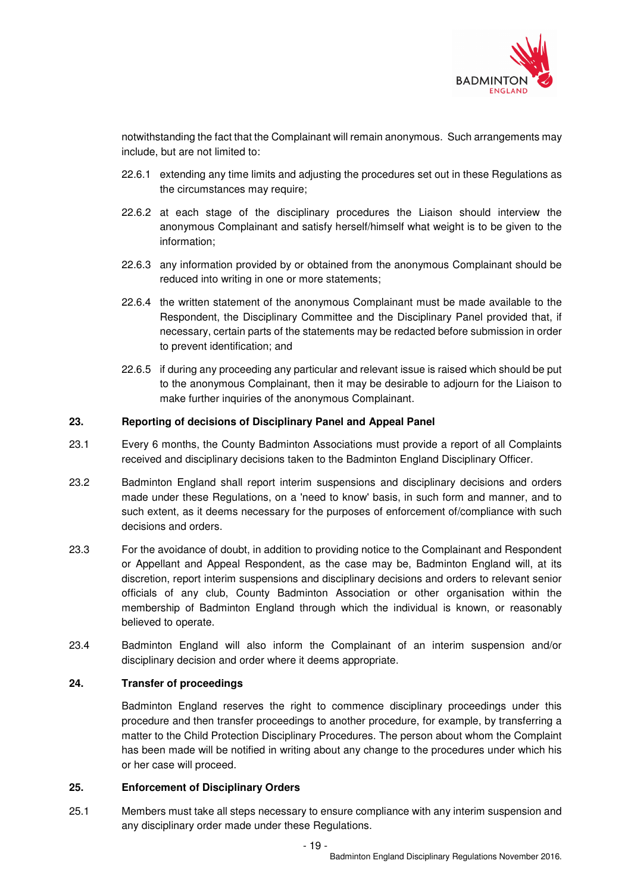

notwithstanding the fact that the Complainant will remain anonymous. Such arrangements may include, but are not limited to:

- 22.6.1 extending any time limits and adjusting the procedures set out in these Regulations as the circumstances may require;
- 22.6.2 at each stage of the disciplinary procedures the Liaison should interview the anonymous Complainant and satisfy herself/himself what weight is to be given to the information;
- 22.6.3 any information provided by or obtained from the anonymous Complainant should be reduced into writing in one or more statements;
- 22.6.4 the written statement of the anonymous Complainant must be made available to the Respondent, the Disciplinary Committee and the Disciplinary Panel provided that, if necessary, certain parts of the statements may be redacted before submission in order to prevent identification; and
- 22.6.5 if during any proceeding any particular and relevant issue is raised which should be put to the anonymous Complainant, then it may be desirable to adjourn for the Liaison to make further inquiries of the anonymous Complainant.

# **23. Reporting of decisions of Disciplinary Panel and Appeal Panel**

- 23.1 Every 6 months, the County Badminton Associations must provide a report of all Complaints received and disciplinary decisions taken to the Badminton England Disciplinary Officer.
- 23.2 Badminton England shall report interim suspensions and disciplinary decisions and orders made under these Regulations, on a 'need to know' basis, in such form and manner, and to such extent, as it deems necessary for the purposes of enforcement of/compliance with such decisions and orders.
- 23.3 For the avoidance of doubt, in addition to providing notice to the Complainant and Respondent or Appellant and Appeal Respondent, as the case may be, Badminton England will, at its discretion, report interim suspensions and disciplinary decisions and orders to relevant senior officials of any club, County Badminton Association or other organisation within the membership of Badminton England through which the individual is known, or reasonably believed to operate.
- 23.4 Badminton England will also inform the Complainant of an interim suspension and/or disciplinary decision and order where it deems appropriate.

# **24. Transfer of proceedings**

Badminton England reserves the right to commence disciplinary proceedings under this procedure and then transfer proceedings to another procedure, for example, by transferring a matter to the Child Protection Disciplinary Procedures. The person about whom the Complaint has been made will be notified in writing about any change to the procedures under which his or her case will proceed.

# **25. Enforcement of Disciplinary Orders**

25.1 Members must take all steps necessary to ensure compliance with any interim suspension and any disciplinary order made under these Regulations.